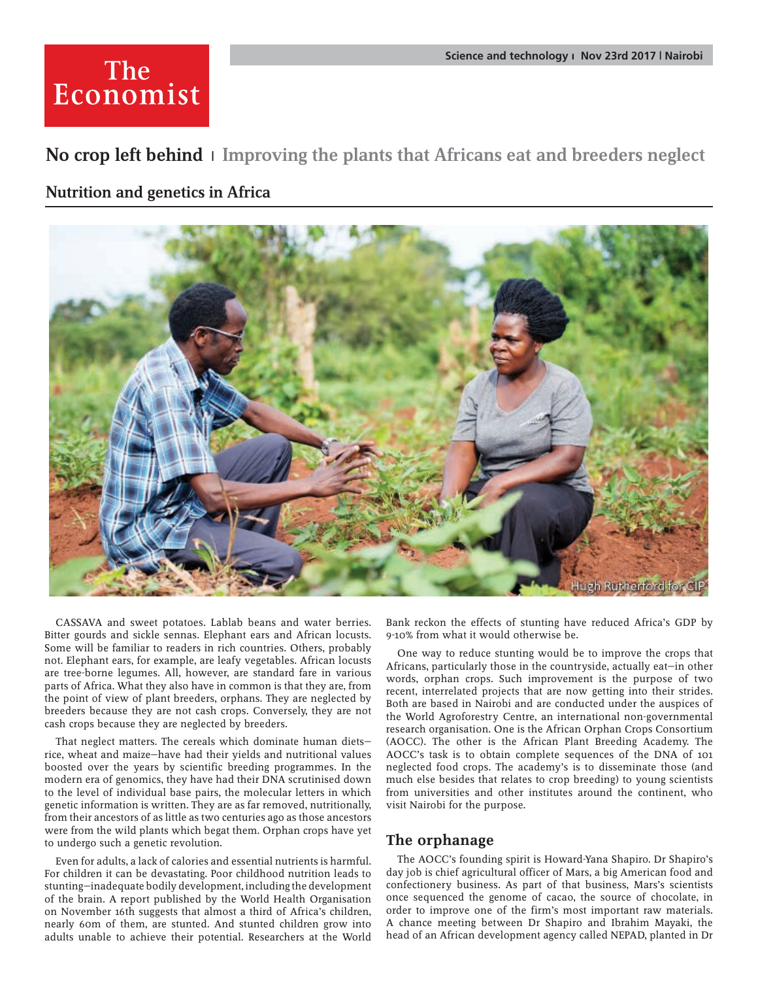## **The** Economist

**No crop left behind** ı **Improving the plants that Africans eat and breeders neglect**

## **Nutrition and genetics in Africa**



CASSAVA and sweet potatoes. Lablab beans and water berries. Bitter gourds and sickle sennas. Elephant ears and African locusts. Some will be familiar to readers in rich countries. Others, probably not. Elephant ears, for example, are leafy vegetables. African locusts are tree-borne legumes. All, however, are standard fare in various parts of Africa. What they also have in common is that they are, from the point of view of plant breeders, orphans. They are neglected by breeders because they are not cash crops. Conversely, they are not cash crops because they are neglected by breeders.

That neglect matters. The cereals which dominate human diets rice, wheat and maize—have had their yields and nutritional values boosted over the years by scientific breeding programmes. In the modern era of genomics, they have had their DNA scrutinised down to the level of individual base pairs, the molecular letters in which genetic information is written. They are as far removed, nutritionally, from their ancestors of as little as two centuries ago as those ancestors were from the wild plants which begat them. Orphan crops have yet to undergo such a genetic revolution.

Even for adults, a lack of calories and essential nutrients is harmful. For children it can be devastating. Poor childhood nutrition leads to stunting—inadequate bodily development, including the development of the brain. A report published by the World Health Organisation on November 16th suggests that almost a third of Africa's children, nearly 60m of them, are stunted. And stunted children grow into adults unable to achieve their potential. Researchers at the World

Bank reckon the effects of stunting have reduced Africa's GDP by 9-10% from what it would otherwise be.

One way to reduce stunting would be to improve the crops that Africans, particularly those in the countryside, actually eat—in other words, orphan crops. Such improvement is the purpose of two recent, interrelated projects that are now getting into their strides. Both are based in Nairobi and are conducted under the auspices of the World Agroforestry Centre, an international non-governmental research organisation. One is the African Orphan Crops Consortium (AOCC). The other is the African Plant Breeding Academy. The AOCC's task is to obtain complete sequences of the DNA of 101 neglected food crops. The academy's is to disseminate those (and much else besides that relates to crop breeding) to young scientists from universities and other institutes around the continent, who visit Nairobi for the purpose.

## **The orphanage**

The AOCC's founding spirit is Howard-Yana Shapiro. Dr Shapiro's day job is chief agricultural officer of Mars, a big American food and confectionery business. As part of that business, Mars's scientists once sequenced the genome of cacao, the source of chocolate, in order to improve one of the firm's most important raw materials. A chance meeting between Dr Shapiro and Ibrahim Mayaki, the head of an African development agency called NEPAD, planted in Dr